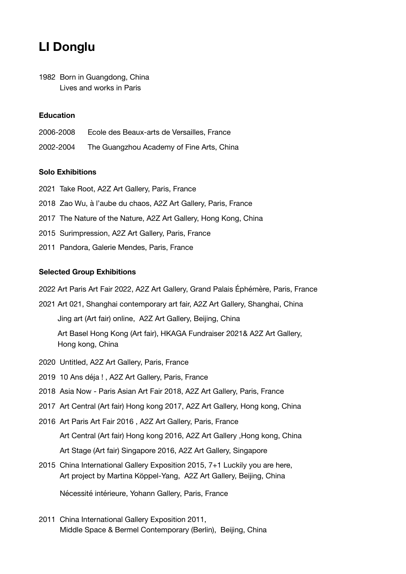# **LI Donglu**

1982 Born in Guangdong, China Lives and works in Paris

## **Education**

- 2006-2008 Ecole des Beaux-arts de Versailles, France
- 2002-2004 The Guangzhou Academy of Fine Arts, China

#### **Solo Exhibitions**

- 2021 Take Root, A2Z Art Gallery, Paris, France
- 2018 Zao Wu, à l'aube du chaos, A2Z Art Gallery, Paris, France
- 2017 The Nature of the Nature, A2Z Art Gallery, Hong Kong, China
- 2015 Surimpression, A2Z Art Gallery, Paris, France
- 2011 Pandora, Galerie Mendes, Paris, France

#### **Selected Group Exhibitions**

2022 Art Paris Art Fair 2022, A2Z Art Gallery, [Grand Palais Éphémère](https://www.artparis.com/fr/future_editions), Paris, France

2021 Art 021, Shanghai contemporary art fair, A2Z Art Gallery, Shanghai, China Jing art (Art fair) online, A2Z Art Gallery, Beijing, China

 Art Basel Hong Kong (Art fair), HKAGA Fundraiser 2021& A2Z Art Gallery, Hong kong, China

- 2020 Untitled, A2Z Art Gallery, Paris, France
- 2019 10 Ans déja ! , A2Z Art Gallery, Paris, France
- 2018 Asia Now Paris Asian Art Fair 2018, A2Z Art Gallery, Paris, France
- 2017 Art Central (Art fair) Hong kong 2017, A2Z Art Gallery, Hong kong, China
- 2016 Art Paris Art Fair 2016 , A2Z Art Gallery, Paris, France Art Central (Art fair) Hong kong 2016, A2Z Art Gallery ,Hong kong, China Art Stage (Art fair) Singapore 2016, A2Z Art Gallery, Singapore
- 2015 China International Gallery Exposition 2015, 7+1 Luckily you are here, Art project by Martina Köppel-Yang, A2Z Art Gallery, Beijing, China

Nécessité intérieure, Yohann Gallery, Paris, France

2011 China International Gallery Exposition 2011, Middle Space & Bermel Contemporary (Berlin), Beijing, China